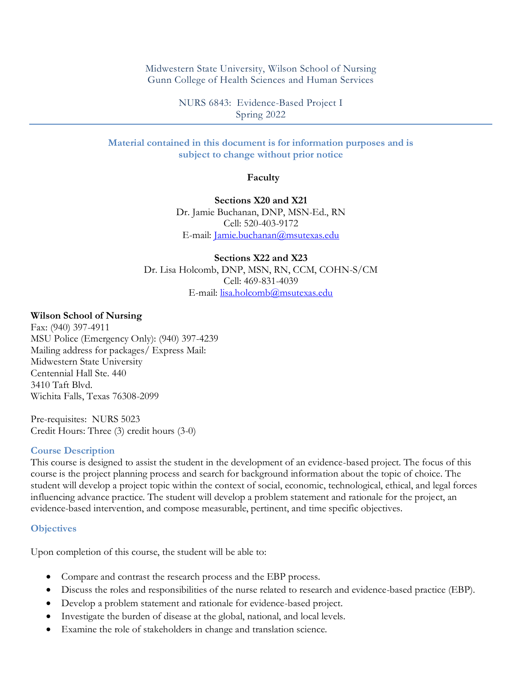Midwestern State University, Wilson School of Nursing Gunn College of Health Sciences and Human Services

> NURS 6843: Evidence-Based Project I Spring 2022

### **Material contained in this document is for information purposes and is subject to change without prior notice**

**Faculty**

**Sections X20 and X21** Dr. Jamie Buchanan, DNP, MSN-Ed., RN Cell: 520-403-9172 E-mail: [Jamie.buchanan@msutexas.edu](mailto:Jamie.buchanan@msutexas.edu)

**Sections X22 and X23** Dr. Lisa Holcomb, DNP, MSN, RN, CCM, COHN-S/CM Cell: 469-831-4039 E-mail: [lisa.holcomb@msutexas.edu](mailto:lisa.holcomb@msutexas.edu)

#### **Wilson School of Nursing**

Fax: (940) 397-4911 MSU Police (Emergency Only): (940) 397-4239 Mailing address for packages/ Express Mail: Midwestern State University Centennial Hall Ste. 440 3410 Taft Blvd. Wichita Falls, Texas 76308-2099

Pre-requisites: NURS 5023 Credit Hours: Three (3) credit hours (3-0)

#### **Course Description**

This course is designed to assist the student in the development of an evidence-based project. The focus of this course is the project planning process and search for background information about the topic of choice. The student will develop a project topic within the context of social, economic, technological, ethical, and legal forces influencing advance practice. The student will develop a problem statement and rationale for the project, an evidence-based intervention, and compose measurable, pertinent, and time specific objectives.

#### **Objectives**

Upon completion of this course, the student will be able to:

- Compare and contrast the research process and the EBP process.
- Discuss the roles and responsibilities of the nurse related to research and evidence-based practice (EBP).
- Develop a problem statement and rationale for evidence-based project.
- Investigate the burden of disease at the global, national, and local levels.
- Examine the role of stakeholders in change and translation science.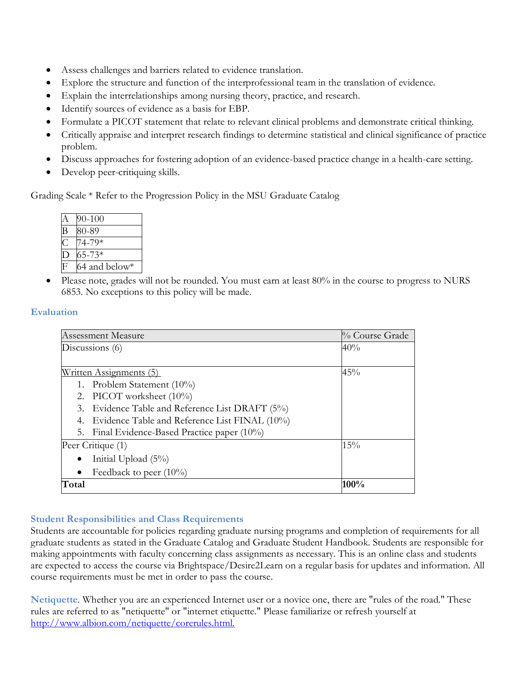- Assess challenges and barriers related to evidence translation.
- Explore the structure and function of the interprofessional team in the translation of evidence.
- Explain the interrelationships among nursing theory, practice, and research.
- Identify sources of evidence as a basis for EBP.
- Formulate a PICOT statement that relate to relevant clinical problems and demonstrate critical thinking.
- Critically appraise and interpret research findings to determine statistical and clinical significance of practice problem.
- Discuss approaches for fostering adoption of an evidence-based practice change in a health-care setting.
- Develop peer-critiquing skills.

Grading Scale \* Refer to the Progression Policy in the MSU Graduate Catalog

| $90 - 100$    |
|---------------|
| 80-89         |
| 74-79*        |
| $65 - 73*$    |
| 64 and below* |

• Please note, grades will not be rounded. You must earn at least 80% in the course to progress to NURS 6853. No exceptions to this policy will be made.

# **Evaluation**

| <b>Assessment Measure</b>                           | % Course Grade |  |
|-----------------------------------------------------|----------------|--|
| Discussions $(6)$                                   | 40%            |  |
|                                                     |                |  |
| <u>Written Assignments (5)</u>                      | 45%            |  |
| 1. Problem Statement (10%)                          |                |  |
| 2. PICOT worksheet (10%)                            |                |  |
| Evidence Table and Reference List DRAFT (5%)<br>3.  |                |  |
| Evidence Table and Reference List FINAL (10%)<br>4. |                |  |
| Final Evidence-Based Practice paper $(10\%)$<br>5.  |                |  |
| Peer Critique (1)                                   | 15%            |  |
| Initial Upload (5%)                                 |                |  |
| Feedback to peer $(10\%)$                           |                |  |
| Total                                               | 100%           |  |

# **Student Responsibilities and Class Requirements**

Students are accountable for policies regarding graduate nursing programs and completion of requirements for all graduate students as stated in the Graduate Catalog and Graduate Student Handbook. Students are responsible for making appointments with faculty concerning class assignments as necessary. This is an online class and students are expected to access the course via Brightspace/Desire2Learn on a regular basis for updates and information. All course requirements must be met in order to pass the course.

**Netiquette**. Whether you are an experienced Internet user or a novice one, there are "rules of the road." These rules are referred to as "netiquette" or "internet etiquette." Please familiarize or refresh yourself at [http://www.albion.com/netiquette/corerules.html.](http://www.albion.com/netiquette/corerules.html)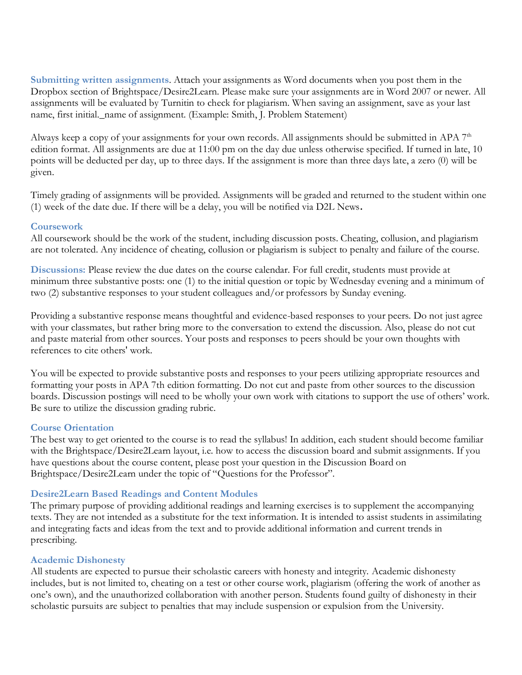**Submitting written assignments**. Attach your assignments as Word documents when you post them in the Dropbox section of Brightspace/Desire2Learn. Please make sure your assignments are in Word 2007 or newer. All assignments will be evaluated by Turnitin to check for plagiarism. When saving an assignment, save as your last name, first initial.\_name of assignment. (Example: Smith, J. Problem Statement)

Always keep a copy of your assignments for your own records. All assignments should be submitted in APA 7<sup>th</sup> edition format. All assignments are due at 11:00 pm on the day due unless otherwise specified. If turned in late, 10 points will be deducted per day, up to three days. If the assignment is more than three days late, a zero (0) will be given.

Timely grading of assignments will be provided. Assignments will be graded and returned to the student within one (1) week of the date due. If there will be a delay, you will be notified via D2L News**.**

### **Coursework**

All coursework should be the work of the student, including discussion posts. Cheating, collusion, and plagiarism are not tolerated. Any incidence of cheating, collusion or plagiarism is subject to penalty and failure of the course.

**Discussions:** Please review the due dates on the course calendar. For full credit, students must provide at minimum three substantive posts: one (1) to the initial question or topic by Wednesday evening and a minimum of two (2) substantive responses to your student colleagues and/or professors by Sunday evening.

Providing a substantive response means thoughtful and evidence-based responses to your peers. Do not just agree with your classmates, but rather bring more to the conversation to extend the discussion. Also, please do not cut and paste material from other sources. Your posts and responses to peers should be your own thoughts with references to cite others' work.

You will be expected to provide substantive posts and responses to your peers utilizing appropriate resources and formatting your posts in APA 7th edition formatting. Do not cut and paste from other sources to the discussion boards. Discussion postings will need to be wholly your own work with citations to support the use of others' work. Be sure to utilize the discussion grading rubric.

## **Course Orientation**

The best way to get oriented to the course is to read the syllabus! In addition, each student should become familiar with the Brightspace/Desire2Learn layout, i.e. how to access the discussion board and submit assignments. If you have questions about the course content, please post your question in the Discussion Board on Brightspace/Desire2Learn under the topic of "Questions for the Professor".

## **Desire2Learn Based Readings and Content Modules**

The primary purpose of providing additional readings and learning exercises is to supplement the accompanying texts. They are not intended as a substitute for the text information. It is intended to assist students in assimilating and integrating facts and ideas from the text and to provide additional information and current trends in prescribing.

## **Academic Dishonesty**

All students are expected to pursue their scholastic careers with honesty and integrity. Academic dishonesty includes, but is not limited to, cheating on a test or other course work, plagiarism (offering the work of another as one's own), and the unauthorized collaboration with another person. Students found guilty of dishonesty in their scholastic pursuits are subject to penalties that may include suspension or expulsion from the University.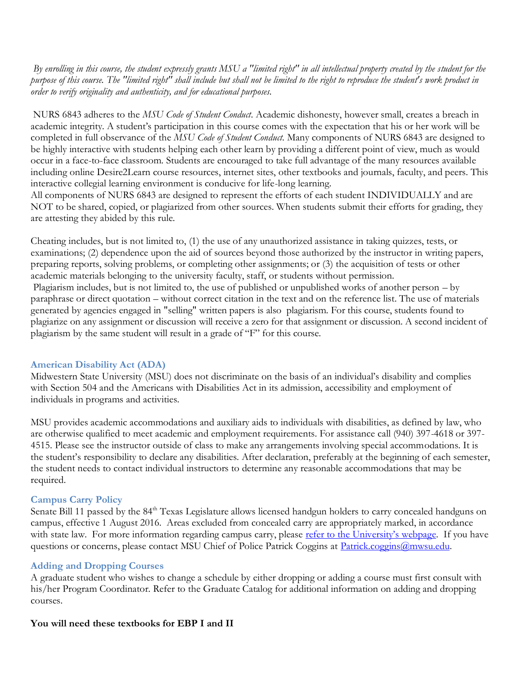*By enrolling in this course, the student expressly grants MSU a "limited right" in all intellectual property created by the student for the purpose of this course. The "limited right" shall include but shall not be limited to the right to reproduce the student's work product in order to verify originality and authenticity, and for educational purposes.*

NURS 6843 adheres to the *MSU Code of Student Conduct*. Academic dishonesty, however small, creates a breach in academic integrity. A student's participation in this course comes with the expectation that his or her work will be completed in full observance of the *MSU Code of Student Conduct*. Many components of NURS 6843 are designed to be highly interactive with students helping each other learn by providing a different point of view, much as would occur in a face-to-face classroom. Students are encouraged to take full advantage of the many resources available including online Desire2Learn course resources, internet sites, other textbooks and journals, faculty, and peers. This interactive collegial learning environment is conducive for life-long learning.

All components of NURS 6843 are designed to represent the efforts of each student INDIVIDUALLY and are NOT to be shared, copied, or plagiarized from other sources. When students submit their efforts for grading, they are attesting they abided by this rule.

Cheating includes, but is not limited to, (1) the use of any unauthorized assistance in taking quizzes, tests, or examinations; (2) dependence upon the aid of sources beyond those authorized by the instructor in writing papers, preparing reports, solving problems, or completing other assignments; or (3) the acquisition of tests or other academic materials belonging to the university faculty, staff, or students without permission. Plagiarism includes, but is not limited to, the use of published or unpublished works of another person – by paraphrase or direct quotation – without correct citation in the text and on the reference list. The use of materials generated by agencies engaged in "selling" written papers is also plagiarism. For this course, students found to plagiarize on any assignment or discussion will receive a zero for that assignment or discussion. A second incident of plagiarism by the same student will result in a grade of "F" for this course.

## **American Disability Act (ADA)**

Midwestern State University (MSU) does not discriminate on the basis of an individual's disability and complies with Section 504 and the Americans with Disabilities Act in its admission, accessibility and employment of individuals in programs and activities.

MSU provides academic accommodations and auxiliary aids to individuals with disabilities, as defined by law, who are otherwise qualified to meet academic and employment requirements. For assistance call (940) 397-4618 or 397- 4515. Please see the instructor outside of class to make any arrangements involving special accommodations. It is the student's responsibility to declare any disabilities. After declaration, preferably at the beginning of each semester, the student needs to contact individual instructors to determine any reasonable accommodations that may be required.

## **Campus Carry Policy**

Senate Bill 11 passed by the 84<sup>th</sup> Texas Legislature allows licensed handgun holders to carry concealed handguns on campus, effective 1 August 2016. Areas excluded from concealed carry are appropriately marked, in accordance with state law. For more information regarding campus carry, please [refer to the University's webpage](http://mwsu.edu/campus-carry/rules-policies). If you have questions or concerns, please contact MSU Chief of Police Patrick Coggins at [Patrick.coggins@mwsu.edu.](mailto:Patrick.coggins@mwsu.edu)

#### **Adding and Dropping Courses**

A graduate student who wishes to change a schedule by either dropping or adding a course must first consult with his/her Program Coordinator. Refer to the Graduate Catalog for additional information on adding and dropping courses.

#### **You will need these textbooks for EBP I and II**